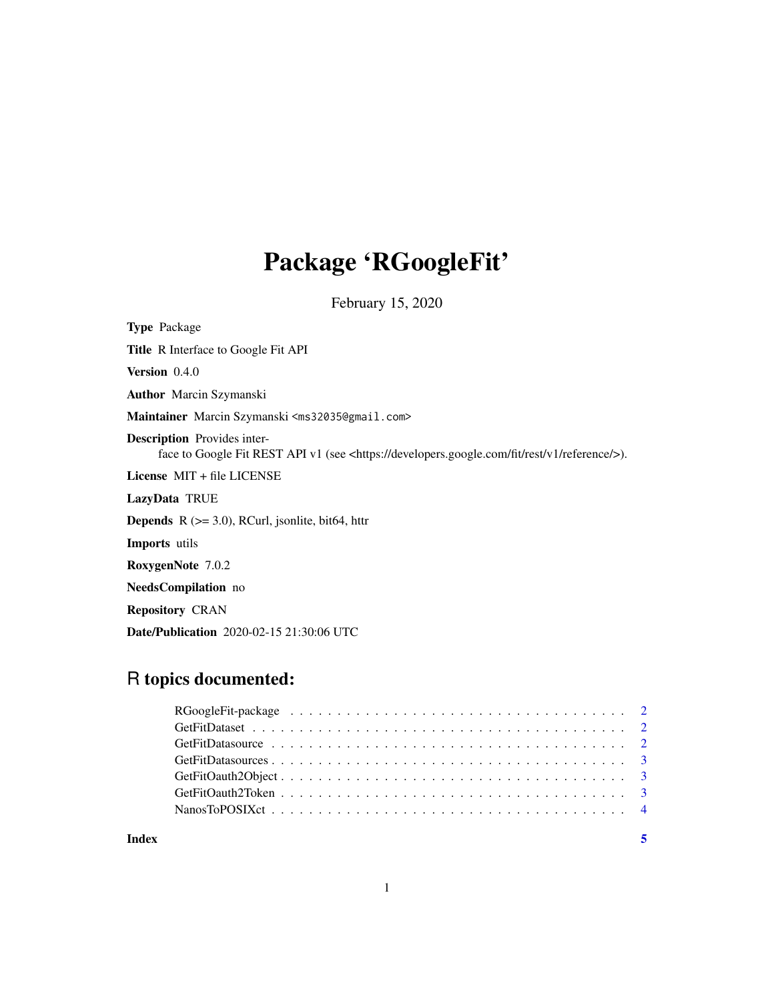## Package 'RGoogleFit'

February 15, 2020

Type Package Title R Interface to Google Fit API Version 0.4.0 Author Marcin Szymanski Maintainer Marcin Szymanski <ms32035@gmail.com> Description Provides interface to Google Fit REST API v1 (see <https://developers.google.com/fit/rest/v1/reference/>). License MIT + file LICENSE LazyData TRUE **Depends** R  $(>= 3.0)$ , RCurl, jsonlite, bit64, httr Imports utils RoxygenNote 7.0.2 NeedsCompilation no Repository CRAN Date/Publication 2020-02-15 21:30:06 UTC

### R topics documented:

| Index | $\overline{\mathbf{5}}$ |  |
|-------|-------------------------|--|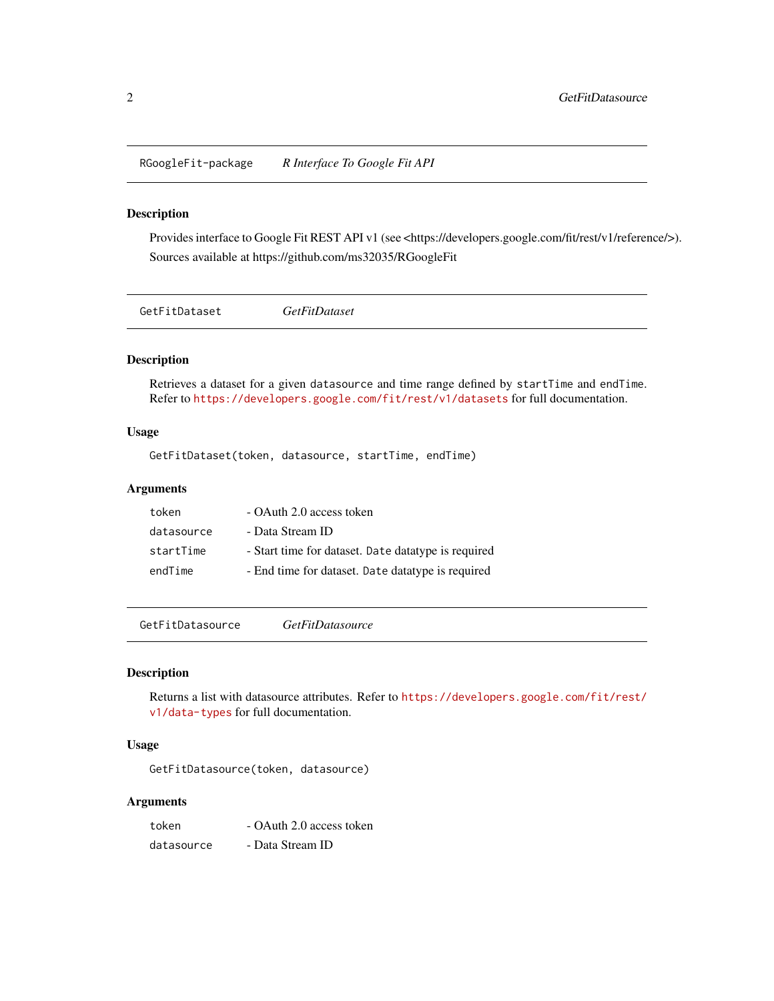<span id="page-1-0"></span>RGoogleFit-package *R Interface To Google Fit API*

#### Description

Provides interface to Google Fit REST API v1 (see <https://developers.google.com/fit/rest/v1/reference/>). Sources available at https://github.com/ms32035/RGoogleFit

GetFitDataset *GetFitDataset*

#### Description

Retrieves a dataset for a given datasource and time range defined by startTime and endTime. Refer to <https://developers.google.com/fit/rest/v1/datasets> for full documentation.

#### Usage

GetFitDataset(token, datasource, startTime, endTime)

#### Arguments

| token      | - OAuth 2.0 access token                            |
|------------|-----------------------------------------------------|
| datasource | - Data Stream ID                                    |
| startTime  | - Start time for dataset. Date datatype is required |
| endTime    | - End time for dataset. Date datatype is required   |

GetFitDatasource *GetFitDatasource*

#### Description

Returns a list with datasource attributes. Refer to [https://developers.google.com/fit/rest/](https://developers.google.com/fit/rest/v1/data-types) [v1/data-types](https://developers.google.com/fit/rest/v1/data-types) for full documentation.

#### Usage

GetFitDatasource(token, datasource)

#### Arguments

token - OAuth 2.0 access token datasource - Data Stream ID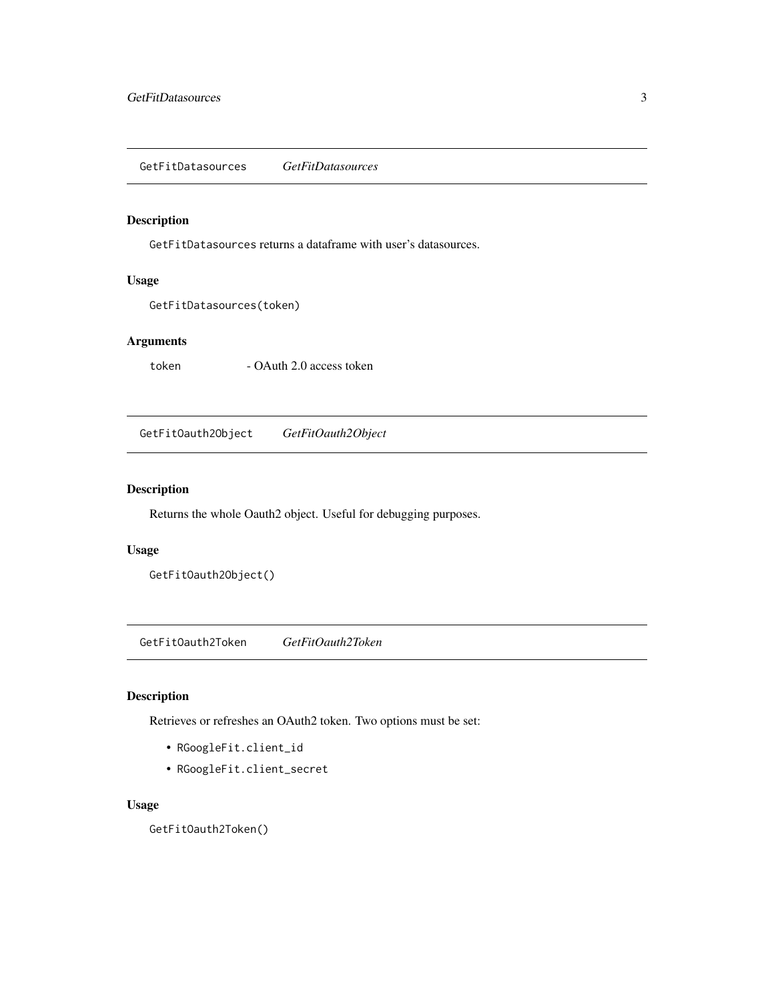#### <span id="page-2-0"></span>Description

GetFitDatasources returns a dataframe with user's datasources.

#### Usage

```
GetFitDatasources(token)
```
#### Arguments

token - OAuth 2.0 access token

GetFitOauth2Object *GetFitOauth2Object*

#### Description

Returns the whole Oauth2 object. Useful for debugging purposes.

#### Usage

GetFitOauth2Object()

GetFitOauth2Token *GetFitOauth2Token*

#### Description

Retrieves or refreshes an OAuth2 token. Two options must be set:

- RGoogleFit.client\_id
- RGoogleFit.client\_secret

#### Usage

GetFitOauth2Token()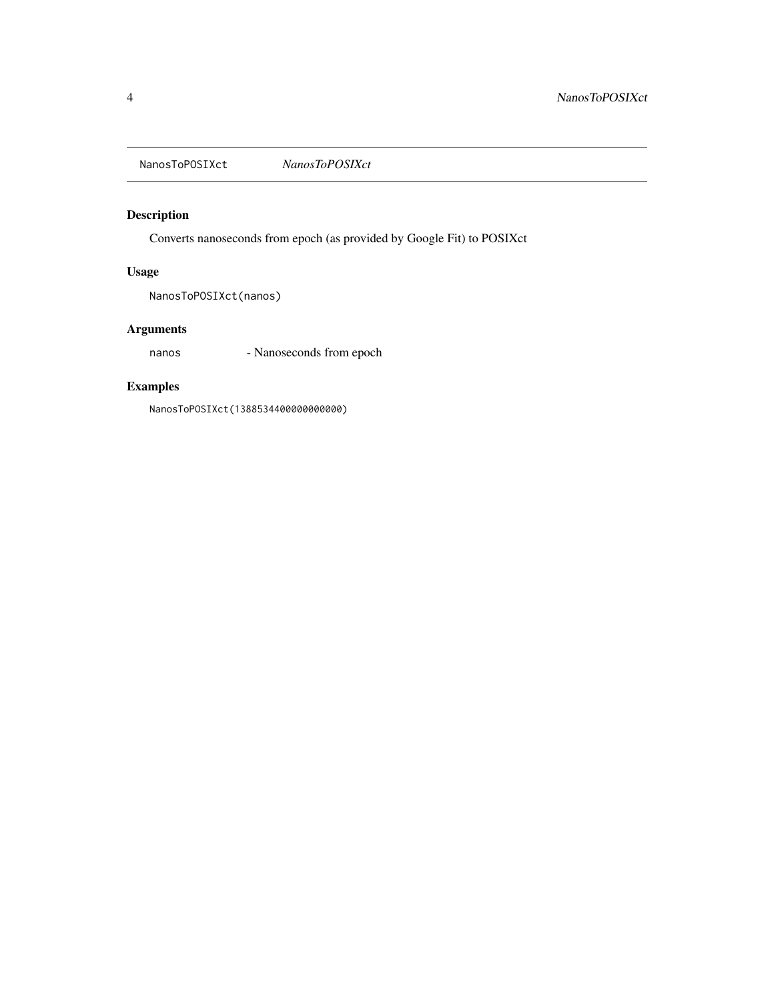<span id="page-3-0"></span>NanosToPOSIXct *NanosToPOSIXct*

#### Description

Converts nanoseconds from epoch (as provided by Google Fit) to POSIXct

#### Usage

NanosToPOSIXct(nanos)

#### Arguments

nanos - Nanoseconds from epoch

#### Examples

NanosToPOSIXct(1388534400000000000)